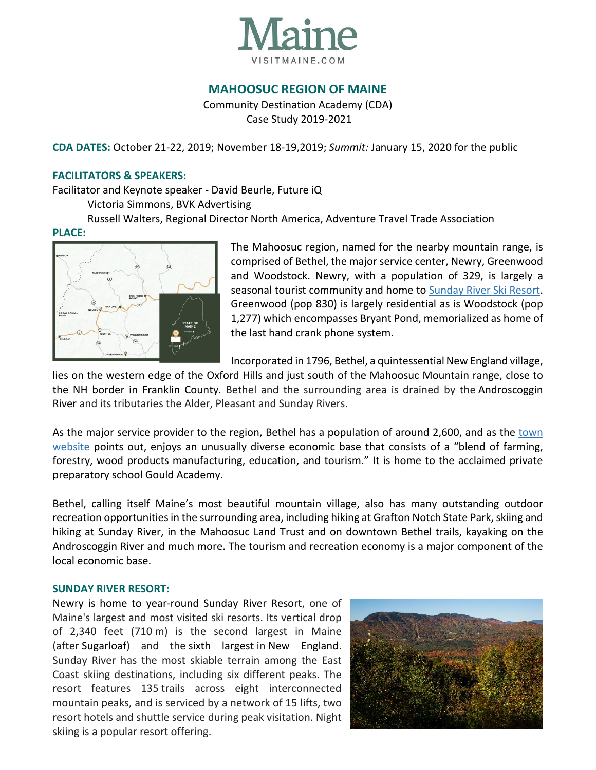

# **MAHOOSUC REGION OF MAINE**

Community Destination Academy (CDA) Case Study 2019-2021

**CDA DATES:** October 21-22, 2019; November 18-19,2019; *Summit:* January 15, 2020 for the public

#### **FACILITATORS & SPEAKERS:**

Facilitator and Keynote speaker - David Beurle, Future iQ

Victoria Simmons, BVK Advertising

Russell Walters, Regional Director North America, Adventure Travel Trade Association

#### **PLACE:**



The Mahoosuc region, named for the nearby mountain range, is comprised of Bethel, the major service center, Newry, Greenwood and Woodstock. Newry, with a population of 329, is largely a seasonal tourist community and home to [Sunday River Ski Resort.](https://www.sundayriver.com/) Greenwood (pop 830) is largely residential as is Woodstock (pop 1,277) which encompasses Bryant Pond, memorialized as home of the last hand crank phone system.

Incorporated in 1796, Bethel, a quintessential New England village,

lies on the western edge of the Oxford Hills and just south of the Mahoosuc Mountain range, close to the NH border in Franklin County. Bethel and the surrounding area is drained by the Androscoggin River and its tributaries the Alder, Pleasant and Sunday Rivers.

As the major service provider to the region, Bethel has a population of around 2,600, and as the town [website](https://www.bethelmaine.org/) points out, enjoys an unusually diverse economic base that consists of a "blend of farming, forestry, wood products manufacturing, education, and tourism." It is home to the acclaimed private preparatory school Gould Academy.

Bethel, calling itself Maine's most beautiful mountain village, also has many outstanding outdoor recreation opportunities in the surrounding area, including hiking at Grafton Notch State Park, skiing and hiking at Sunday River, in the Mahoosuc Land Trust and on downtown Bethel trails, kayaking on the Androscoggin River and much more. The tourism and recreation economy is a major component of the local economic base.

#### **SUNDAY RIVER RESORT:**

Newry is home to year-round Sunday River Resort, one of Maine's largest and most visited ski resorts. Its vertical drop of 2,340 feet (710 m) is the second largest in Maine (after Sugarloaf) and the sixth largest in New England. Sunday River has the most skiable terrain among the East Coast skiing destinations, including six different peaks. The resort features 135 trails across eight interconnected mountain peaks, and is serviced by a network of 15 lifts, two resort hotels and shuttle service during peak visitation. Night skiing is a popular resort offering.

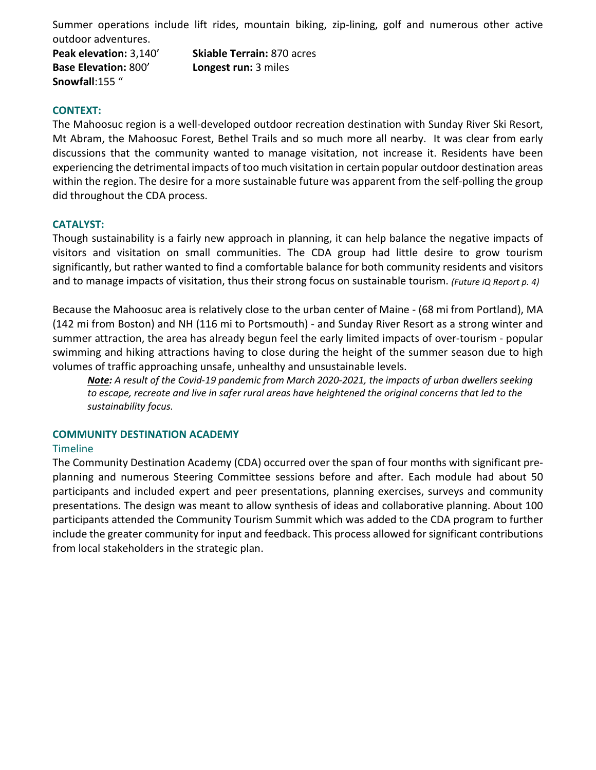Summer operations include lift rides, mountain biking, zip-lining, golf and numerous other active outdoor adventures.

**Base Elevation:** 800' **Longest run:** 3 miles **Snowfall**:155 "

**Peak elevation:** 3,140' **Skiable Terrain:** 870 acres

### **CONTEXT:**

The Mahoosuc region is a well-developed outdoor recreation destination with Sunday River Ski Resort, Mt Abram, the Mahoosuc Forest, Bethel Trails and so much more all nearby. It was clear from early discussions that the community wanted to manage visitation, not increase it. Residents have been experiencing the detrimental impacts of too much visitation in certain popular outdoor destination areas within the region. The desire for a more sustainable future was apparent from the self-polling the group did throughout the CDA process.

## **CATALYST:**

Though sustainability is a fairly new approach in planning, it can help balance the negative impacts of visitors and visitation on small communities. The CDA group had little desire to grow tourism significantly, but rather wanted to find a comfortable balance for both community residents and visitors and to manage impacts of visitation, thus their strong focus on sustainable tourism. *(Future iQ Report p. 4)*

Because the Mahoosuc area is relatively close to the urban center of Maine - (68 mi from Portland), MA (142 mi from Boston) and NH (116 mi to Portsmouth) - and Sunday River Resort as a strong winter and summer attraction, the area has already begun feel the early limited impacts of over-tourism - popular swimming and hiking attractions having to close during the height of the summer season due to high volumes of traffic approaching unsafe, unhealthy and unsustainable levels.

*Note: A result of the Covid-19 pandemic from March 2020-2021, the impacts of urban dwellers seeking to escape, recreate and live in safer rural areas have heightened the original concerns that led to the sustainability focus.* 

### **COMMUNITY DESTINATION ACADEMY**

### **Timeline**

The Community Destination Academy (CDA) occurred over the span of four months with significant preplanning and numerous Steering Committee sessions before and after. Each module had about 50 participants and included expert and peer presentations, planning exercises, surveys and community presentations. The design was meant to allow synthesis of ideas and collaborative planning. About 100 participants attended the Community Tourism Summit which was added to the CDA program to further include the greater community for input and feedback. This process allowed for significant contributions from local stakeholders in the strategic plan.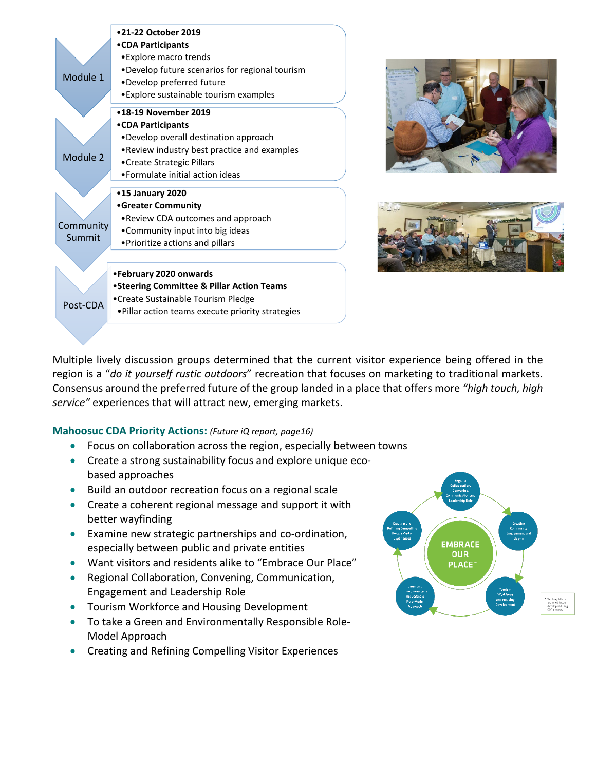





Multiple lively discussion groups determined that the current visitor experience being offered in the region is a "*do it yourself rustic outdoors*" recreation that focuses on marketing to traditional markets. Consensus around the preferred future of the group landed in a place that offers more *"high touch, high service"* experiences that will attract new, emerging markets.

### **Mahoosuc CDA Priority Actions:** *(Future iQ report, page16)*

- Focus on collaboration across the region, especially between towns
- Create a strong sustainability focus and explore unique ecobased approaches
- Build an outdoor recreation focus on a regional scale
- Create a coherent regional message and support it with better wayfinding
- Examine new strategic partnerships and co-ordination, especially between public and private entities
- Want visitors and residents alike to "Embrace Our Place"
- Regional Collaboration, Convening, Communication, Engagement and Leadership Role
- Tourism Workforce and Housing Development
- To take a Green and Environmentally Responsible Role-Model Approach
- Creating and Refining Compelling Visitor Experiences

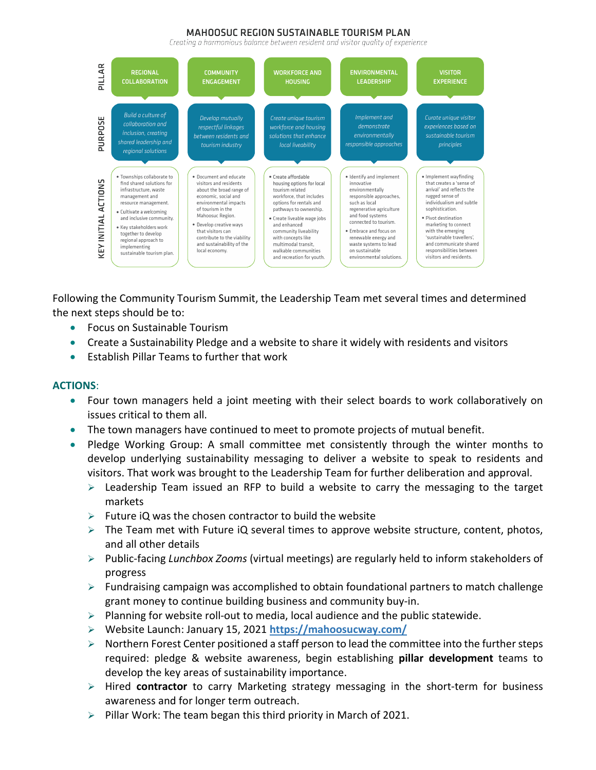#### MAHOOSUC REGION SUSTAINABLE TOURISM PLAN

Creating a harmonious balance between resident and visitor quality of experience



Following the Community Tourism Summit, the Leadership Team met several times and determined the next steps should be to:

- Focus on Sustainable Tourism
- Create a Sustainability Pledge and a website to share it widely with residents and visitors
- Establish Pillar Teams to further that work

### **ACTIONS**:

- Four town managers held a joint meeting with their select boards to work collaboratively on issues critical to them all.
- The town managers have continued to meet to promote projects of mutual benefit.
- Pledge Working Group: A small committee met consistently through the winter months to develop underlying sustainability messaging to deliver a website to speak to residents and visitors. That work was brought to the Leadership Team for further deliberation and approval.
	- $\triangleright$  Leadership Team issued an RFP to build a website to carry the messaging to the target markets
	- $\triangleright$  Future iQ was the chosen contractor to build the website
	- $\triangleright$  The Team met with Future iQ several times to approve website structure, content, photos, and all other details
	- Public-facing *Lunchbox Zooms* (virtual meetings) are regularly held to inform stakeholders of progress
	- $\triangleright$  Fundraising campaign was accomplished to obtain foundational partners to match challenge grant money to continue building business and community buy-in.
	- $\triangleright$  Planning for website roll-out to media, local audience and the public statewide.
	- Website Launch: January 15, 2021 **<https://mahoosucway.com/>**
	- $\triangleright$  Northern Forest Center positioned a staff person to lead the committee into the further steps required: pledge & website awareness, begin establishing **pillar development** teams to develop the key areas of sustainability importance.
	- Hired **contractor** to carry Marketing strategy messaging in the short-term for business awareness and for longer term outreach.
	- $\triangleright$  Pillar Work: The team began this third priority in March of 2021.